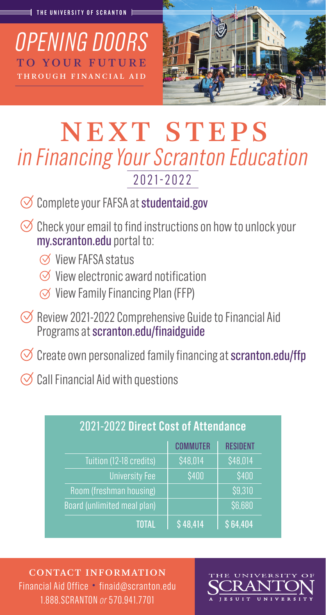*OPENING DOORS* TO YOUR FUTURE THROUGH FINANCIAL AID



# NEXT STEPS *in Financing Your Scranton Education* 2021-2022

- $\oslash$  Complete your FAFSA at studentaid.gov
- $\Theta$  Check your email to find instructions on how to unlock your my.scranton.edu portal to:
	- $\oslash$  View FAFSA status
	- $\varnothing$  View electronic award notification
	- $\oslash$  View Family Financing Plan (FFP)
- $\oslash$  Review 2021-2022 Comprehensive Guide to Financial Aid Programs at scranton.edu/finaidguide
- $\Diamond$  Create own personalized family financing at scranton.edu/ffp
- $\oslash$  Call Financial Aid with questions

| 2021-2022 Direct Cost of Attendance |                 |                 |
|-------------------------------------|-----------------|-----------------|
|                                     | <b>COMMUTER</b> | <b>RESIDENT</b> |
| Tuition (12-18 credits)             | \$48,014        | \$48,014        |
| <b>University Fee</b>               | \$400           | \$400           |
| Room (freshman housing)             |                 | \$9,310         |
| Board (unlimited meal plan)         |                 | \$6,680         |
| TOTAL                               | \$48,414        | \$64,404        |

CONTACT INFORMATION Financial Aid Office • finaid@scranton.edu 1.888.SCRANTON *or* 570.941.7701